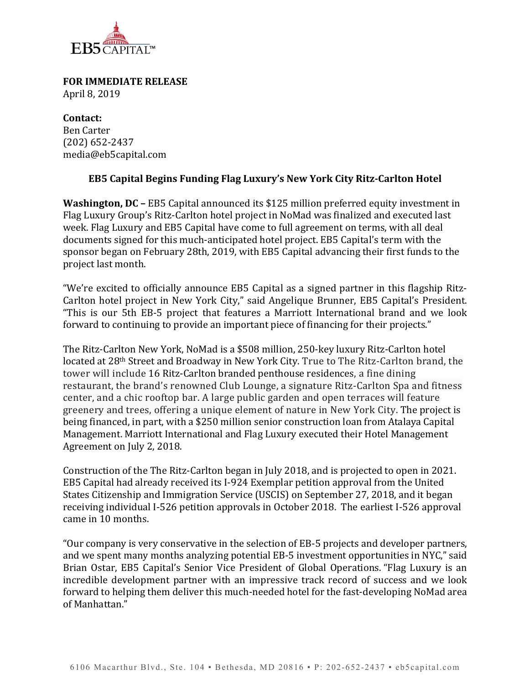

**FOR IMMEDIATE RELEASE** April 8, 2019

**Contact:** Ben Carter (202) 652-2437 media@eb5capital.com

## **EB5 Capital Begins Funding Flag Luxury's New York City Ritz-Carlton Hotel**

**Washington, DC –** EB5 Capital announced its \$125 million preferred equity investment in Flag Luxury Group's Ritz-Carlton hotel project in NoMad was finalized and executed last week. Flag Luxury and EB5 Capital have come to full agreement on terms, with all deal documents signed for this much-anticipated hotel project. EB5 Capital's term with the sponsor began on February 28th, 2019, with EB5 Capital advancing their first funds to the project last month. 

"We're excited to officially announce EB5 Capital as a signed partner in this flagship Ritz-Carlton hotel project in New York City," said Angelique Brunner, EB5 Capital's President. "This is our 5th EB-5 project that features a Marriott International brand and we look forward to continuing to provide an important piece of financing for their projects." 

The Ritz-Carlton New York, NoMad is a \$508 million, 250-key luxury Ritz-Carlton hotel located at 28<sup>th</sup> Street and Broadway in New York City. True to The Ritz-Carlton brand, the tower will include 16 Ritz-Carlton branded penthouse residences, a fine dining restaurant, the brand's renowned Club Lounge, a signature Ritz-Carlton Spa and fitness center, and a chic rooftop bar. A large public garden and open terraces will feature greenery and trees, offering a unique element of nature in New York City. The project is being financed, in part, with a \$250 million senior construction loan from Atalaya Capital Management. Marriott International and Flag Luxury executed their Hotel Management Agreement on July 2, 2018.

Construction of the The Ritz-Carlton began in July 2018, and is projected to open in 2021. EB5 Capital had already received its I-924 Exemplar petition approval from the United States Citizenship and Immigration Service (USCIS) on September 27, 2018, and it began receiving individual I-526 petition approvals in October 2018. The earliest I-526 approval came in 10 months. 

"Our company is very conservative in the selection of EB-5 projects and developer partners, and we spent many months analyzing potential EB-5 investment opportunities in NYC," said Brian Ostar, EB5 Capital's Senior Vice President of Global Operations. "Flag Luxury is an incredible development partner with an impressive track record of success and we look forward to helping them deliver this much-needed hotel for the fast-developing NoMad area of Manhattan."